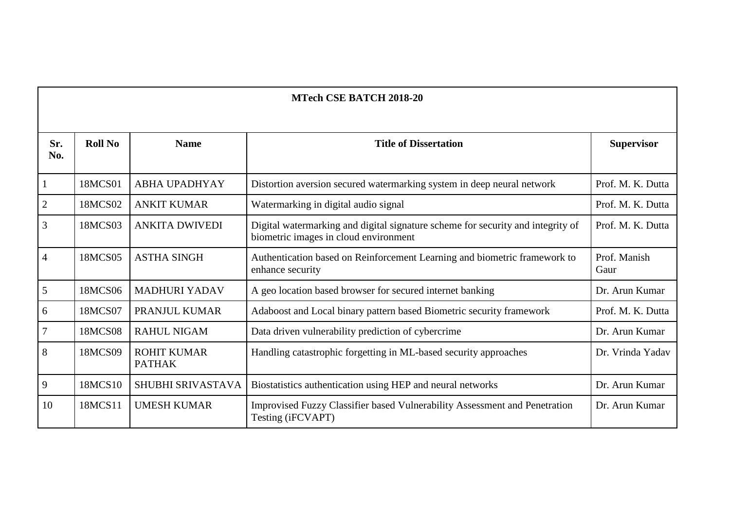| Sr.<br>No.     | <b>Roll No</b> | <b>Name</b>                         | <b>Title of Dissertation</b>                                                                                             | <b>Supervisor</b>    |
|----------------|----------------|-------------------------------------|--------------------------------------------------------------------------------------------------------------------------|----------------------|
| 1              | 18MCS01        | <b>ABHA UPADHYAY</b>                | Distortion aversion secured watermarking system in deep neural network                                                   | Prof. M. K. Dutta    |
| 2              | 18MCS02        | <b>ANKIT KUMAR</b>                  | Watermarking in digital audio signal                                                                                     | Prof. M. K. Dutta    |
| 3              | 18MCS03        | <b>ANKITA DWIVEDI</b>               | Digital watermarking and digital signature scheme for security and integrity of<br>biometric images in cloud environment | Prof. M. K. Dutta    |
| $\overline{4}$ | 18MCS05        | <b>ASTHA SINGH</b>                  | Authentication based on Reinforcement Learning and biometric framework to<br>enhance security                            | Prof. Manish<br>Gaur |
| 5              | 18MCS06        | <b>MADHURI YADAV</b>                | A geo location based browser for secured internet banking                                                                | Dr. Arun Kumar       |
| 6              | 18MCS07        | PRANJUL KUMAR                       | Adaboost and Local binary pattern based Biometric security framework                                                     | Prof. M. K. Dutta    |
| $\overline{7}$ | <b>18MCS08</b> | <b>RAHUL NIGAM</b>                  | Data driven vulnerability prediction of cybercrime                                                                       | Dr. Arun Kumar       |
| 8              | 18MCS09        | <b>ROHIT KUMAR</b><br><b>PATHAK</b> | Handling catastrophic forgetting in ML-based security approaches                                                         | Dr. Vrinda Yadav     |
| 9              | 18MCS10        | SHUBHI SRIVASTAVA                   | Biostatistics authentication using HEP and neural networks                                                               | Dr. Arun Kumar       |
| 10             | 18MCS11        | <b>UMESH KUMAR</b>                  | Improvised Fuzzy Classifier based Vulnerability Assessment and Penetration<br>Testing (iFCVAPT)                          | Dr. Arun Kumar       |

**MTech CSE BATCH 2018-20**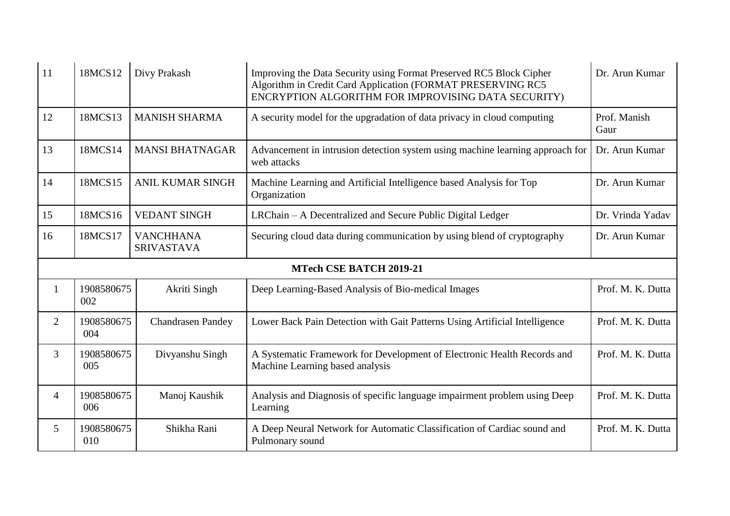| 11             | 18MCS12                        | Divy Prakash                          | Improving the Data Security using Format Preserved RC5 Block Cipher<br>Algorithm in Credit Card Application (FORMAT PRESERVING RC5<br>ENCRYPTION ALGORITHM FOR IMPROVISING DATA SECURITY) | Dr. Arun Kumar       |  |  |  |  |  |
|----------------|--------------------------------|---------------------------------------|-------------------------------------------------------------------------------------------------------------------------------------------------------------------------------------------|----------------------|--|--|--|--|--|
| 12             | 18MCS13                        | <b>MANISH SHARMA</b>                  | A security model for the upgradation of data privacy in cloud computing                                                                                                                   | Prof. Manish<br>Gaur |  |  |  |  |  |
| 13             | 18MCS14                        | <b>MANSI BHATNAGAR</b>                | Advancement in intrusion detection system using machine learning approach for<br>web attacks                                                                                              | Dr. Arun Kumar       |  |  |  |  |  |
| 14             | 18MCS15                        | <b>ANIL KUMAR SINGH</b>               | Machine Learning and Artificial Intelligence based Analysis for Top<br>Organization                                                                                                       | Dr. Arun Kumar       |  |  |  |  |  |
| 15             | 18MCS16                        | <b>VEDANT SINGH</b>                   | LRChain – A Decentralized and Secure Public Digital Ledger                                                                                                                                | Dr. Vrinda Yadav     |  |  |  |  |  |
| 16             | 18MCS17                        | <b>VANCHHANA</b><br><b>SRIVASTAVA</b> | Securing cloud data during communication by using blend of cryptography                                                                                                                   | Dr. Arun Kumar       |  |  |  |  |  |
|                | <b>MTech CSE BATCH 2019-21</b> |                                       |                                                                                                                                                                                           |                      |  |  |  |  |  |
| 1              | 1908580675<br>002              | Akriti Singh                          | Deep Learning-Based Analysis of Bio-medical Images                                                                                                                                        | Prof. M. K. Dutta    |  |  |  |  |  |
| $\overline{2}$ | 1908580675<br>004              | <b>Chandrasen Pandey</b>              | Lower Back Pain Detection with Gait Patterns Using Artificial Intelligence                                                                                                                | Prof. M. K. Dutta    |  |  |  |  |  |
| $\overline{3}$ | 1908580675<br>005              | Divyanshu Singh                       | A Systematic Framework for Development of Electronic Health Records and<br>Machine Learning based analysis                                                                                | Prof. M. K. Dutta    |  |  |  |  |  |
| 4              | 1908580675<br>006              | Manoj Kaushik                         | Analysis and Diagnosis of specific language impairment problem using Deep<br>Learning                                                                                                     | Prof. M. K. Dutta    |  |  |  |  |  |
| 5              | 1908580675                     | Shikha Rani                           | A Deep Neural Network for Automatic Classification of Cardiac sound and                                                                                                                   | Prof. M. K. Dutta    |  |  |  |  |  |